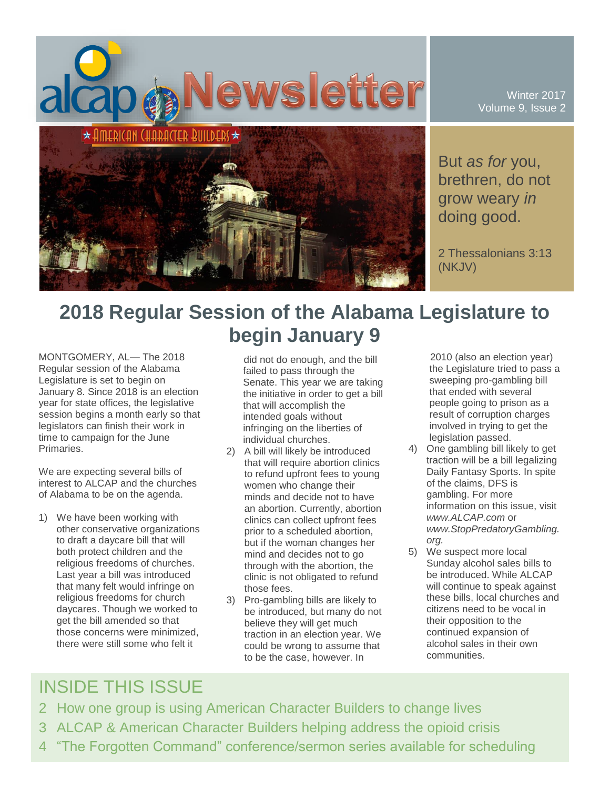

Winter 2017 Volume 9, Issue 2

But *as for* you, brethren, do not grow weary *in* doing good.

2 Thessalonians 3:13 (NKJV)

# **2018 Regular Session of the Alabama Legislature to begin January 9**

MONTGOMERY, AL— The 2018 Regular session of the Alabama Legislature is set to begin on January 8. Since 2018 is an election year for state offices, the legislative session begins a month early so that legislators can finish their work in time to campaign for the June Primaries.

We are expecting several bills of interest to ALCAP and the churches of Alabama to be on the agenda.

1) We have been working with other conservative organizations to draft a daycare bill that will both protect children and the religious freedoms of churches. Last year a bill was introduced that many felt would infringe on religious freedoms for church daycares. Though we worked to get the bill amended so that those concerns were minimized, there were still some who felt it

did not do enough, and the bill failed to pass through the Senate. This year we are taking the initiative in order to get a bill that will accomplish the intended goals without infringing on the liberties of individual churches.

- 2) A bill will likely be introduced that will require abortion clinics to refund upfront fees to young women who change their minds and decide not to have an abortion. Currently, abortion clinics can collect upfront fees prior to a scheduled abortion, but if the woman changes her mind and decides not to go through with the abortion, the clinic is not obligated to refund those fees.
- 3) Pro-gambling bills are likely to be introduced, but many do not believe they will get much traction in an election year. We could be wrong to assume that to be the case, however. In

2010 (also an election year) the Legislature tried to pass a sweeping pro-gambling bill that ended with several people going to prison as a result of corruption charges involved in trying to get the legislation passed.

- 4) One gambling bill likely to get traction will be a bill legalizing Daily Fantasy Sports. In spite of the claims, DFS is gambling. For more information on this issue, visit *www.ALCAP.com* or *www.StopPredatoryGambling. org.*
- 5) We suspect more local Sunday alcohol sales bills to be introduced. While ALCAP will continue to speak against these bills, local churches and citizens need to be vocal in their opposition to the continued expansion of alcohol sales in their own communities.

## INSIDE THIS ISSUE

- 2 How one group is using American Character Builders to change lives
- 3 ALCAP & American Character Builders helping address the opioid crisis
- 4 "The Forgotten Command" conference/sermon series available for scheduling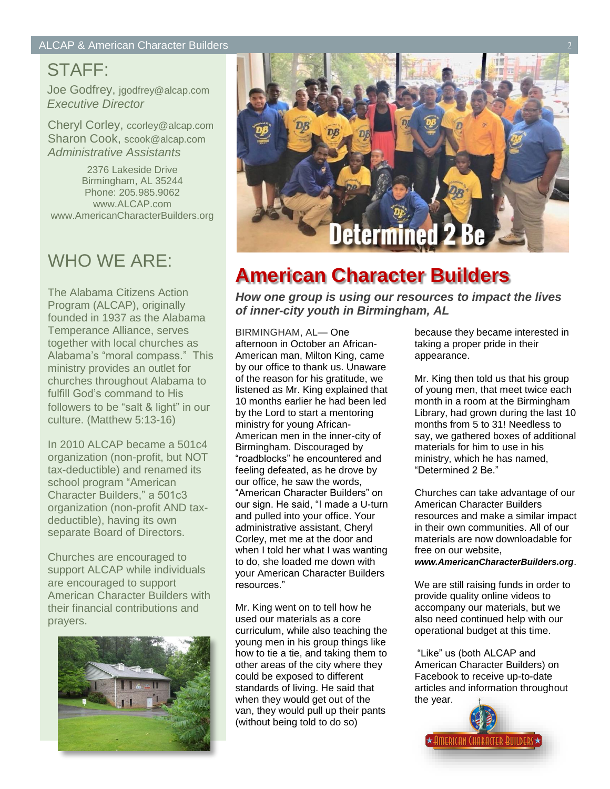## STAFF:

Joe Godfrey, jgodfrey@alcap.com *Executive Director*

Cheryl Corley, ccorley@alcap.com Sharon Cook, scook@alcap.com *Administrative Assistants*

2376 Lakeside Drive Birmingham, AL 35244 Phone: 205.985.9062 www.ALCAP.com www.AmericanCharacterBuilders.org

## WHO WE ARE:

The Alabama Citizens Action Program (ALCAP), originally founded in 1937 as the Alabama Temperance Alliance, serves together with local churches as Alabama's "moral compass." This ministry provides an outlet for churches throughout Alabama to fulfill God's command to His followers to be "salt & light" in our culture. (Matthew 5:13-16)

In 2010 ALCAP became a 501c4 organization (non-profit, but NOT tax-deductible) and renamed its school program "American Character Builders," a 501c3 organization (non-profit AND taxdeductible), having its own separate Board of Directors.

Churches are encouraged to support ALCAP while individuals are encouraged to support American Character Builders with their financial contributions and prayers.





## **American Character Builders**

*How one group is using our resources to impact the lives of inner-city youth in Birmingham, AL*

BIRMINGHAM, AL— One afternoon in October an African-American man, Milton King, came by our office to thank us. Unaware of the reason for his gratitude, we listened as Mr. King explained that 10 months earlier he had been led by the Lord to start a mentoring ministry for young African-American men in the inner-city of Birmingham. Discouraged by "roadblocks" he encountered and feeling defeated, as he drove by our office, he saw the words, "American Character Builders" on our sign. He said, "I made a U-turn and pulled into your office. Your administrative assistant, Cheryl Corley, met me at the door and when I told her what I was wanting to do, she loaded me down with your American Character Builders resources."

Mr. King went on to tell how he used our materials as a core curriculum, while also teaching the young men in his group things like how to tie a tie, and taking them to other areas of the city where they could be exposed to different standards of living. He said that when they would get out of the van, they would pull up their pants (without being told to do so)

because they became interested in taking a proper pride in their appearance.

Mr. King then told us that his group of young men, that meet twice each month in a room at the Birmingham Library, had grown during the last 10 months from 5 to 31! Needless to say, we gathered boxes of additional materials for him to use in his ministry, which he has named, "Determined 2 Be."

Churches can take advantage of our American Character Builders resources and make a similar impact in their own communities. All of our materials are now downloadable for free on our website,

#### *www.AmericanCharacterBuilders.org*.

We are still raising funds in order to provide quality online videos to accompany our materials, but we also need continued help with our operational budget at this time.

"Like" us (both ALCAP and American Character Builders) on Facebook to receive up-to-date articles and information throughout the year.

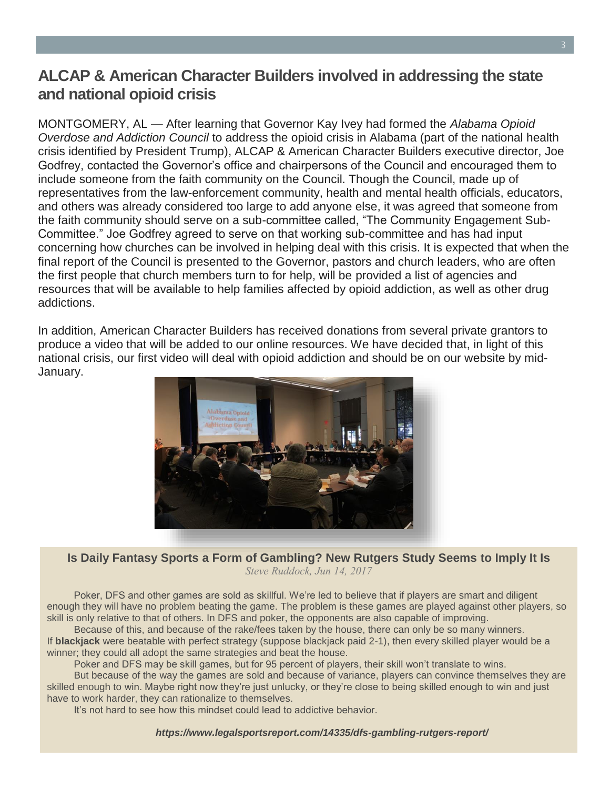### **ALCAP & American Character Builders involved in addressing the state and national opioid crisis**

MONTGOMERY, AL — After learning that Governor Kay Ivey had formed the *Alabama Opioid Overdose and Addiction Council* to address the opioid crisis in Alabama (part of the national health crisis identified by President Trump), ALCAP & American Character Builders executive director, Joe Godfrey, contacted the Governor's office and chairpersons of the Council and encouraged them to include someone from the faith community on the Council. Though the Council, made up of representatives from the law-enforcement community, health and mental health officials, educators, and others was already considered too large to add anyone else, it was agreed that someone from the faith community should serve on a sub-committee called, "The Community Engagement Sub-Committee." Joe Godfrey agreed to serve on that working sub-committee and has had input concerning how churches can be involved in helping deal with this crisis. It is expected that when the final report of the Council is presented to the Governor, pastors and church leaders, who are often the first people that church members turn to for help, will be provided a list of agencies and resources that will be available to help families affected by opioid addiction, as well as other drug addictions.

In addition, American Character Builders has received donations from several private grantors to produce a video that will be added to our online resources. We have decided that, in light of this national crisis, our first video will deal with opioid addiction and should be on our website by mid-January.



#### **Is Daily Fantasy Sports a Form of Gambling? New Rutgers Study Seems to Imply It Is** *Steve Ruddock, Jun 14, 2017*

Poker, DFS and other games are sold as skillful. We're led to believe that if players are smart and diligent enough they will have no problem beating the game. The problem is these games are played against other players, so skill is only relative to that of others. In DFS and poker, the opponents are also capable of improving.

Because of this, and because of the rake/fees taken by the house, there can only be so many winners. If **blackjack** were beatable with perfect strategy (suppose blackjack paid 2-1), then every skilled player would be a winner; they could all adopt the same strategies and beat the house.

Poker and DFS may be skill games, but for 95 percent of players, their skill won't translate to wins.

But because of the way the games are sold and because of variance, players can convince themselves they are skilled enough to win. Maybe right now they're just unlucky, or they're close to being skilled enough to win and just have to work harder, they can rationalize to themselves.

It's not hard to see how this mindset could lead to addictive behavior.

*https://www.legalsportsreport.com/14335/dfs-gambling-rutgers-report/*